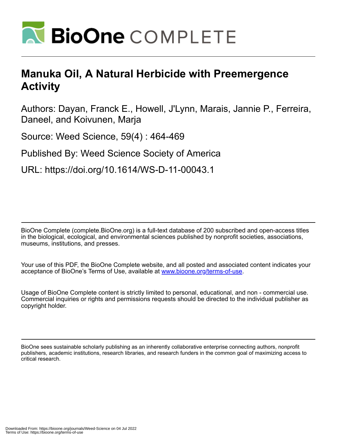

# **Manuka Oil, A Natural Herbicide with Preemergence Activity**

Authors: Dayan, Franck E., Howell, J'Lynn, Marais, Jannie P., Ferreira, Daneel, and Koivunen, Marja

Source: Weed Science, 59(4) : 464-469

Published By: Weed Science Society of America

URL: https://doi.org/10.1614/WS-D-11-00043.1

BioOne Complete (complete.BioOne.org) is a full-text database of 200 subscribed and open-access titles in the biological, ecological, and environmental sciences published by nonprofit societies, associations, museums, institutions, and presses.

Your use of this PDF, the BioOne Complete website, and all posted and associated content indicates your acceptance of BioOne's Terms of Use, available at www.bioone.org/terms-of-use.

Usage of BioOne Complete content is strictly limited to personal, educational, and non - commercial use. Commercial inquiries or rights and permissions requests should be directed to the individual publisher as copyright holder.

BioOne sees sustainable scholarly publishing as an inherently collaborative enterprise connecting authors, nonprofit publishers, academic institutions, research libraries, and research funders in the common goal of maximizing access to critical research.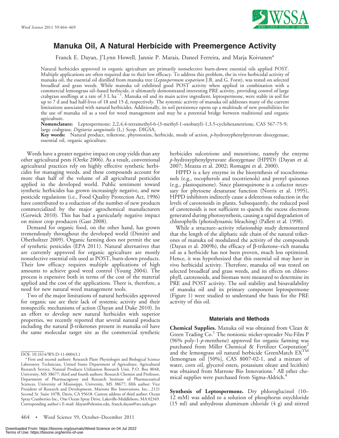

# Manuka Oil, A Natural Herbicide with Preemergence Activity

Franck E. Dayan, J'Lynn Howell, Jannie P. Marais, Daneel Ferreira, and Marja Koivunen\*

Natural herbicides approved in organic agriculture are primarily nonselective burn-down essential oils applied POST. Multiple applications are often required due to their low efficacy. To address this problem, the in vivo herbicidal activity of manuka oil, the essential oil distilled from manuka tree (Leptospermum scoparium J.R. and G. Forst), was tested on selected broadleaf and grass weeds. While manuka oil exhibited good POST activity when applied in combination with a commercial lemongrass oil–based herbicide, it ultimately demonstrated interesting PRE activity, providing control of large<br>crabgrass seedlings at a rate of 3 L ha<sup>–1</sup>. Manuka oil and its main active ingredient, leptospermo up to 7 d and had half-lives of 18 and 15 d, respectively. The systemic activity of manuka oil addresses many of the current limitations associated with natural herbicides. Additionally, its soil persistence opens up a multitude of new possibilities for the use of manuka oil as a tool for weed management and may be a potential bridge between traditional and organic agriculture.

Nomenclature: Leptospermone; 2,2,4,4-tetramethyl-6-(3-methyl-1-oxobutyl)-1,3,5-cyclohexanetrione, CAS 567-75-9; large crabgrass; *Digitaria sanguinalis* (L.) Scop. DIGSA.

Key words: Natural product, triketone, phytotoxins, herbicide, mode of action, p-hydroxyphenylpyruvate dioxygenase, essential oil, organic agriculture.

Weeds have a greater negative impact on crop yields than any other agricultural pests (Oerke 2006). As a result, conventional agricultural practices rely on highly effective synthetic herbicides for managing weeds, and these compounds account for more than half of the volume of all agricultural pesticides applied in the developed world. Public sentiment toward synthetic herbicides has grown increasingly negative, and new pesticide regulations (i.e., Food Quality Protection Act, 1996) have contributed to a reduction of the number of new products commercialized by the major agrochemical manufacturers (Gerwick 2010). This has had a particularly negative impact on minor crop producers (Gast 2008).

Demand for organic food, on the other hand, has grown tremendously throughout the developed world (Dimitri and Oberholtzer 2009). Organic farming does not permit the use of synthetic pesticides (EPA 2011). Natural alternatives that are currently approved for organic agriculture are mostly nonselective essential oils used as POST, burn-down products. Their low efficacy requires multiple applications of high amounts to achieve good weed control (Young 2004). The process is expensive both in terms of the cost of the material applied and the cost of the applications. There is, therefore, a need for new natural weed management tools.

Two of the major limitations of natural herbicides approved for organic use are their lack of systemic activity and their nonspecific mechanisms of action (Dayan and Duke 2010). In an effort to develop new natural herbicides with superior properties, we recently reported that several natural products including the natural  $\beta$ -triketones present in manuka oil have the same molecular target site as the commercial synthetic

herbicides sulcotrione and mesotrione, namely the enzyme p-hydroxyphenylpyruvate dioxygenase (HPPD) (Dayan et al. 2007; Meazza et al. 2002; Romagni et al. 2000).

HPPD is a key enzyme in the biosynthesis of tocochromanols (e.g., tocopherols and tocotrienols) and prenyl quinones (e.g., plastoquinone). Since plastoquinone is a cofactor necessary for phytoene desaturase function (Norris et al. 1995), HPPD inhibitors indirectly cause a deleterious reduction in the levels of carotenoids in plants. Subsequently, the reduced pool of carotenoids is not sufficient to quench the excess electrons generated during photosynthesis, causing a rapid degradation of chlorophylls (photodynamic bleaching) (Pallett et al. 1998).

While a structure–activity relationship study demonstrated that the length of the aliphatic side chain of the natural triketones of manuka oil modulated the activity of the compounds (Dayan et al. 2009b), the efficacy of  $\beta$ -triketone–rich manuka oil as a herbicide has not been proven, much less optimized. Hence, it was hypothesized that this essential oil may have in vivo herbicidal activity. Therefore, manuka oil was tested on selected broadleaf and grass weeds, and its effects on chlorophyll, carotenoids, and biomass were measured to determine its PRE and POST activity. The soil stability and bioavailability of manuka oil and its primary component leptospermone (Figure 1) were studied to understand the basis for the PRE activity of this oil.

#### Materials and Methods

Chemical Supplies. Manuka oil was obtained from Clean & Green Trading Co.<sup>1</sup> The nonionic sticker-spreader Nu-Film P (96% poly-1-p-menthene) approved for organic farming was purchased from Miller Chemical & Fertilizer Corporation<sup>2</sup> and the lemongrass oil natural herbicide GreenMatch  $\mathrm{EX}^\mathrm{TM}$ (lemongrass oil [50%], CAS 8007-02-1, and a mixture of water, corn oil, glycerol esters, potassium oleate and lecithin) was obtained from Marrone Bio Innovations.<sup>3</sup> All other chemical supplies were purchased from Sigma-Aldrich.<sup>4</sup>

Synthesis of Leptospermone. Dry phloroglucinol (10– 12 mM) was added to a solution of phosphorus oxychloride (15 ml) and anhydrous aluminum chloride (4 g) and stirred

DOI: 10.1614/WS-D-11-00043.1

<sup>\*</sup> First and second authors: Research Plant Physiologist and Biological Science Laboratory Technician, United States Department of Agriculture, Agricultural Research Service, Natural Products Utilization Research Unit, P.O. Box 8048, University, MS 38677; third and fourth authors: Research Chemist and Professor, Department of Pharmacognosy and Research Institute of Pharmaceutical Sciences, University of Mississippi, University, MS 38677; fifth author: Vice President of Research and Development, Marrone Bio Innovations, Inc., 2121 Second St. Suite 107B, Davis, CA 95618. Current address of third author: Ocean Spray Cranberries Inc., One Ocean Spray Drive, Lakeville-Middleboro, MA 02349. Corresponding author's E-mail: fdayan@olemiss.edu, franck.dayan@ars.usda.gov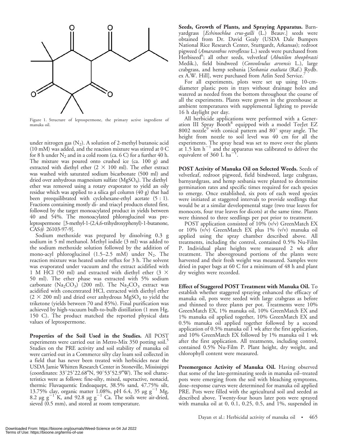

Figure 1. Structure of leptospermone, the primary active ingredient of manuka oil.

under nitrogen gas  $(N_2)$ . A solution of 2-methyl butanoic acid (10 mM) was added, and the reaction mixture was stirred at 0 C for 8 h under  $N_2$  and in a cold room (ca. 6 C) for a further 40 h. The mixture was poured onto crushed ice (ca. 100 g) and extracted with diethyl ether  $(2 \times 100 \text{ ml})$ . The ether extract was washed with saturated sodium bicarbonate (500 ml) and dried over anhydrous magnesium sulfate  $(MgSO<sub>4</sub>)$ . The diethyl ether was removed using a rotary evaporator to yield an oily residue which was applied to a silica gel column (40 g) that had been preequilibrated with cyclohexane-ethyl acetate (5 : 1). Fractions containing mostly di- and triacyl products eluted first, followed by the target monoacylated product in yields between 40 and 54%. The monoacylated phloroglucinol was preleptospermone [3-methyl-1-(2,4,6-trihydroxyphenyl)-1-butanone, CAS# 26103-97-9].

Sodium methoxide was prepared by dissolving 0.3 g sodium in 5 ml methanol. Methyl iodide (3 ml) was added to the sodium methoxide solution followed by the addition of mono-acyl phloroglucinol (1.5–2.5 mM) under  $N_2$ . The reaction mixture was heated under reflux for 3 h. The solvent was evaporated under vacuum and the extract acidified with 1 M HCl (50 ml) and extracted with diethyl ether (3  $\times$ 50 ml). The ether phase was extracted with 5% sodium carbonate  $(Na_2CO_3)$ <sup>[</sup> (200 ml). The  $Na_2CO_3$  extract was acidified with concentrated HCl, extracted with diethyl ether  $(2 \times 200 \text{ ml})$  and dried over anhydrous MgSO<sub>4</sub> to yield the triketone (yields between 70 and 85%). Final purification was achieved by high-vacuum bulb-to-bulb distillation (1 mm Hg, 150 C). The product matched the reported physical data values of leptospermone.

Properties of the Soil Used in the Studies. All POST experiments were carried out in Metro-Mix 350 potting soil.<sup>5</sup> Studies on the PRE activity and soil stability of manuka oil were carried out in a Commerce silty clay loam soil collected in a field that has never been treated with herbicides near the USDA Jamie Whitten Research Center in Stoneville, Mississippi (coordinates:  $33^{\circ}25'22.68''N$ ,  $90^{\circ}53'52.9''W$ ). The soil characteristics were as follows: fine-silty, mixed, superactive, nonacid, thermic Fluvaquentic Endoaquept, 38.5% sand, 47.75% silt, 13.75% clay, organic matter 1.08%, pH 6.4, 35  $\mu$ g g<sup>-1</sup> Mg, 8.2  $\mu$ g g<sup>-1</sup> K, and 92.8  $\mu$ g g<sup>-1</sup> Ca. The soils were air-dried, sieved (0.5 mm), and stored at room temperature.

Seeds, Growth of Plants, and Spraying Apparatus. Barnyardgrass [Echinochloa crus-galli (L.) Beauv.] seeds were obtained from Dr. David Gealy (USDA Dale Bumpers National Rice Research Center, Stuttgardt, Arkansas); redroot pigweed (Amaranthus retroflexus L.) seeds were purchased from Herbiseed<sup>6</sup>; all other seeds, velvetleaf (Abutilon theophrasti Medik.), field bindweed (Convolvulus arvensis L.), large crabgrass, and hemp sesbania [Sesbania exaltata (Raf.) Rydb. ex A.W. Hill], were purchased from Azlin Seed Service.

For all experiments, plots were set up using 10-cmdiameter plastic pots in trays without drainage holes and watered as needed from the bottom throughout the course of all the experiments. Plants were grown in the greenhouse at ambient temperatures with supplemental lighting to provide 16 h daylight per day.

All herbicide applications were performed with a Generation III Spray Booth<sup>8</sup> equipped with a model TeeJet EZ 8002 nozzl $e^9$  with conical pattern and 80 $^{\circ}$  spray angle. The height from nozzle to soil level was 40 cm for all the experiments. The spray head was set to move over the plants<br>at 1.5 km  $h^{-1}$  and the apparatus was calibrated to deliver the equivalent of  $360$  L ha<sup>-1</sup> .

POST Activity of Manuka Oil on Selected Weeds. Seeds of velvetleaf, redroot pigweed, field bindweed, large crabgrass, barnyardgrass, and hemp sesbania were planted to determine germination rates and specific times required for each species to emerge. Once established, six pots of each weed species were initiated at staggered intervals to provide seedlings that would be at a similar developmental stage (two true leaves for monocots, four true leaves for dicots) at the same time. Plants were thinned to three seedlings per pot prior to treatment.

POST application consisted of 10% (v/v) GreenMatch EX or 10% (v/v) GreenMatch EX plus 1% (v/v) manuka oil applied using the spray chamber described above. All treatments, including the control, contained 0.5% Nu-Film P. Individual plant heights were measured 2 wk after treatment. The aboveground portions of the plants were harvested and their fresh weight was measured. Samples were dried in paper bags at 60 C for a minimum of 48 h and plant dry weights were recorded.

Effect of Staggered POST Treatment with Manuka Oil. To establish whether staggered spraying enhanced the efficacy of manuka oil, pots were seeded with large crabgrass as before and thinned to three plants per pot. Treatments were 10% GreenMatch EX, 1% manuka oil, 10% GreenMatch EX and 1% manuka oil applied together, 10% GreenMatch EX and 0.5% manuka oil applied together followed by a second application of 0.5% manuka oil 1 wk after the first application, and 10% GreenMatch EX followed by 1% manuka oil 1 wk after the first application. All treatments, including control, contained 0.5% Nu-Film P. Plant height, dry weight, and chlorophyll content were measured.

Preemergence Activity of Manuka Oil. Having observed that some of the late-germinating seeds in manuka oil–treated pots were emerging from the soil with bleaching symptoms, dose–response curves were determined for manuka oil applied PRE. Pots were filled with the agricultural soil and seeded as described above. Twenty-four hours later pots were sprayed with manuka oil at 0, 0.1, 0.25, 0.5, and 1%, suspended in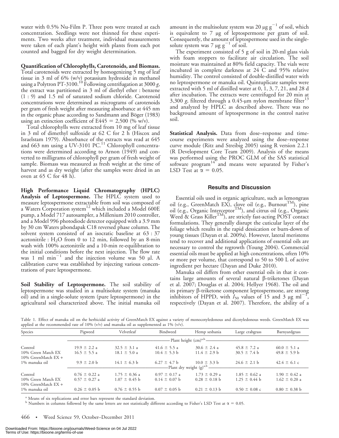water with 0.5% Nu-Film P. Three pots were treated at each concentration. Seedlings were not thinned for these experiments. Two weeks after treatment, individual measurements were taken of each plant's height with plants from each pot counted and bagged for dry weight determination.

#### Quantification of Chlorophylls, Carotenoids, and Biomass.

Total carotenoids were extracted by homogenizing 5 mg of leaf tissue in 3 ml of 6% (w/v) potassium hydroxide in methanol using a Polytron PT-3100.<sup>10</sup> Following centrifugation at 3000 g, the extract was partitioned in 3 ml of diethyl ether : benzene (1 : 9) and 1.5 ml of saturated sodium chloride. Carotenoid concentrations were determined as micrograms of carotenoids per gram of fresh weight after measuring absorbance at 445 nm in the organic phase according to Sandmann and Böger (1983) using an extinction coefficient of E445 = 2,500 (% w/v).

Total chlorophylls were extracted from 10 mg of leaf tissue in 3 ml of dimethyl sulfoxide at 62 C for 2 h (Hiscox and Israelstam 1979). Absorbance of the extracts was read at 645 and 663 nm using a UV-3101 PC.<sup>11</sup> Chlorophyll concentrations were determined according to Arnon (1949) and converted to milligrams of chlorophyll per gram of fresh weight of sample. Biomass was measured as fresh weight at the time of harvest and as dry weight (after the samples were dried in an oven at 65 C for 48 h).

High Performance Liquid Chromatography (HPLC) Analysis of Leptospermone. The HPLC system used to measure leptospermone extractable from soil was composed of a Waters Corporation system<sup>12</sup> which included a Model 600E pump, a Model 717 autosampler, a Millenium 2010 controller, and a Model 996 photodiode detector equipped with a 3.9 mm by 30 cm Waters µbondapak C18 reversed phase column. The solvent system consisted of an isocratic baseline at 63 : 37 acetonitrile :  $H_2O$  from 0 to 12 min, followed by an 8-min wash with 100% acetonitrile and a 10-min re-equilibration to the initial conditions before the next injection. The flow rate was 1 ml min<sup>-1</sup> and the injection volume was 50  $\mu$ l. A calibration curve was established by injecting various concentrations of pure leptospermone.

Soil Stability of Leptospermone. The soil stability of leptospermone was studied in a multisolute system (manuka oil) and in a single-solute system (pure leptospermone) in the agricultural soil characterized above. The initial manuka oil

amount in the multisolute system was 20  $\mu$ g g<sup>-1</sup> of soil, which is equivalent to 7 mg of leptospermone per gram of soil. Consequently, the amount of leptospermone used in the singlesolute system was 7  $\mu$ g g<sup>-1</sup> of soil.

The experiment consisted of 5 g of soil in 20-ml glass vials with foam stoppers to facilitate air circulation. The soil moisture was maintained at 80% field capacity. The vials were incubated in complete darkness at 24 C and 95% relative humidity. The control consisted of double-distilled water with no leptospermone or manuka oil. Quintuplicate samples were extracted with 5 ml of distilled water at 0, 1, 3, 7, 21, and 28 d after incubation. The extracts were centrifuged for 20 min at 3,300 g, filtered through a 0.45- $\mu$ m nylon membrane filter<sup>13</sup> and analyzed by HPLC as described above. There was no background amount of leptospermone in the control native soil.

Statistical Analysis. Data from dose-response and timecourse experiments were analyzed using the dose–response curve module (Ritz and Streibig 2005) using R version 2.2.1 (R Development Core Team 2009). Analysis of the means was performed using the PROC GLM of the SAS statistical software program<sup>14</sup> and means were separated by Fisher's LSD Test at  $\alpha = 0.05$ .

#### Results and Discussion

Essential oils used in organic agriculture, such as lemongrass oil (e.g., GreenMatch EX), clove oil (e.g., Burnout<sup>TM</sup>), pine oil (e.g., Organic Interceptor<sup>TM</sup>), and citrus oil (e.g., Organic Weed & Grass Killer<sup>TM</sup>), are strictly fast-acting POST contact formulations. They generally disrupt the cuticular layer of the foliage which results in the rapid dessication or burn-down of young tissues (Dayan et al. 2009a). However, lateral meristems tend to recover and additional applications of essential oils are necessary to control the regrowth (Young 2004). Commercial essential oils must be applied at high concentrations, often 10% or more per volume, that correspond to 50 to 500 L of active ingredient per hectare (Dayan and Duke 2010).

Manuka oil differs from other essential oils in that it contains large amounts of several natural  $\beta$ -triketones (Dayan et al. 2007; Douglas et al. 2004; Hellyer 1968). The oil and its primary b-triketone component leptospermone, are strong inhibitors of HPPD, with  $I_{50}$  values of 15 and 3 µg ml<sup>-1</sup>, respectively (Dayan et al. 2007). Therefore, the ability of a

Table 1. Effect of manuka oil on the herbicidal activity of GreenMatch EX against a variety of monocotyledonous and dicotyledonous weeds. GreenMatch EX was applied at the recommended rate of 10% (v/v) and manuka oil as supplemented as 1% (v/v).

| Species                                                | Pigweed                                | Velvetleaf                             | Bindweed                               | Hemp sesbania                                                    | Large crabgrass                        | Barnyardgrass                          |  |
|--------------------------------------------------------|----------------------------------------|----------------------------------------|----------------------------------------|------------------------------------------------------------------|----------------------------------------|----------------------------------------|--|
|                                                        | -Plant height (cm) <sup>a,b</sup> ---  |                                        |                                        |                                                                  |                                        |                                        |  |
| Control<br>10% Green Match EX<br>10% GreenMatch $EX +$ | $19.9 \pm 2.2 a$<br>$16.5 \pm 5.5$ a   | $32.5 \pm 3.1 a$<br>$18.1 \pm 5.0$ a   | $41.6 \pm 5.5 a$<br>$10.4 \pm 5.3$ b   | $30.6 \pm 2.4$ a<br>$11.4 \pm 2.9$ b                             | $45.8 \pm 7.2$ a<br>$30.5 \pm 7.4$ b   | $60.0 \pm 5.1 a$<br>$49.8 \pm 5.9$ b   |  |
| 1% manuka oil                                          | $9.9 \pm 2.0$ b                        | $14.1 \pm 6.3$ b                       | $6.27 \pm 4.7$ b                       | $10.0 \pm 3.3$ b<br>---Plant dry weight (g) <sup>a,b</sup> ----- | $24.6 \pm 2.1$ b                       | $42.4 \pm 6.1$ c                       |  |
| Control<br>10% Green Match EX<br>10% GreenMatch $EX +$ | $0.76 \pm 0.22$ a<br>$0.57 \pm 0.27$ a | $1.75 \pm 0.36$ a<br>$1.07 \pm 0.45$ b | $0.97 \pm 0.17$ a<br>$0.14 \pm 0.07$ b | $1.73 \pm 0.29$ a<br>$0.28 \pm 0.18$ b                           | $1.85 \pm 0.62$ a<br>$1.25 \pm 0.44$ b | $1.90 \pm 0.42$ a<br>$1.62 \pm 0.20$ a |  |
| 1% manuka oil                                          | $0.26 \pm 0.05$ b                      | $0.76 \pm 0.55$ b                      | $0.07 \pm 0.05$ b                      | $0.21 \pm 0.13$ b                                                | $0.50 \pm 0.08$ c                      | $0.80 \pm 0.38$ b                      |  |

<sup>a</sup> Means of six replications and error bars represent the standard deviation.

<sup>b</sup> Numbers in columns followed by the same letters are not statistically different according to Fisher's LSD Test at  $\alpha = 0.05$ .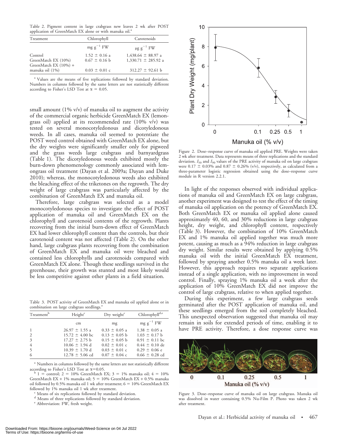Table 2. Pigment content in large crabgrass new leaves 2 wk after POST application of GreenMatch EX alone or with manuka oil.<sup>8</sup>

| Treatment                                               | Chlorophyll                            | Carotenoids                                       |  |
|---------------------------------------------------------|----------------------------------------|---------------------------------------------------|--|
|                                                         | $mg g^{-1} FW$                         | $\mu$ g g <sup>-1</sup> FW                        |  |
| Control<br>GreenMatch EX (10%)<br>GreenMatch EX (10%) + | $1.52 \pm 0.16$ a<br>$0.67 \pm 0.16$ b | $1,438.64 \pm 88.97$ a<br>$1,330.71 \pm 285.92$ a |  |
| manuka oil (1%)                                         | $0.03 \pm 0.01$ c                      | $312.27 \pm 92.61$ b                              |  |

<sup>a</sup> Values are the means of five replications followed by standard deviation. Numbers in columns followed by the same letters are not statistically different according to Fisher's LSD Test at  $\alpha = 0.05$ .

small amount  $(1\% \text{ v/v})$  of manuka oil to augment the activity of the commercial organic herbicide GreenMatch EX (lemongrass oil) applied at its recommended rate (10% v/v) was tested on several monocotyledonous and dicotyledonous weeds. In all cases, manuka oil seemed to potentiate the POST weed control obtained with GreenMatch EX alone, but the dry weights were significantly smaller only for pigweed and the grass weeds large crabgrass and barnyardgrass (Table 1). The dicotyledonous weeds exhibited mostly the burn-down phenomenology commonly associated with lemongrass oil treatment (Dayan et al. 2009a; Dayan and Duke 2010); whereas, the monocotyledonous weeds also exhibited the bleaching effect of the triketones on the regrowth. The dry weight of large crabgrass was particularly affected by the combination of GreenMatch EX and manuka oil.

Therefore, large crabgrass was selected as a model monocotyledonous species to investigate the effect of POST application of manuka oil and GreenMatch EX on the chlorophyll and carotenoid contents of the regrowth. Plants recovering from the initial burn-down effect of GreenMatch EX had lower chlorophyll content than the controls, but their carotenoid content was not affected (Table 2). On the other hand, large crabgrass plants recovering from the combination of GreenMatch EX and manuka oil were bleached and contained less chlorophylls and carotenoids compared with GreenMatch EX alone. Though these seedlings survived in the greenhouse, their growth was stunted and most likely would be less competitive against other plants in a field situation.

Table 3. POST activity of GreenMatch EX and manuka oil applied alone or in combination on large crabgrass seedlings.<sup>8</sup>

| Treatment <sup>b</sup> | Height <sup>c</sup> | Dry weight <sup>c</sup> | Chlorophyll <sup>d,e</sup> |  |
|------------------------|---------------------|-------------------------|----------------------------|--|
|                        | cm                  | mg                      | $mg g^{-1} FW$             |  |
| $\mathbf{1}$           | $26.97 \pm 1.55$ a  | $0.33 \pm 0.05$ a       | $1.38 \pm 0.05$ a          |  |
| $\overline{2}$         | $15.72 \pm 4.00$ bc | $0.13 \pm 0.05$ b       | $1.03 \pm 0.17$ b          |  |
| 3                      | $17.27 \pm 2.75$ b  | $0.15 \pm 0.05$ b       | $0.91 \pm 0.11$ bc         |  |
| 4                      | $10.06 \pm 1.94$ d  | $0.02 \pm 0.01$ c       | $0.44 \pm 0.10$ de         |  |
| 5                      | $10.39 \pm 1.70$ d  | $0.03 \pm 0.01$ c       | $0.29 \pm 0.06$ e          |  |
| 6                      | $12.78 \pm 5.06$ cd | $0.07 \pm 0.04$ c       | $0.66 \pm 0.28$ cd         |  |

<sup>a</sup> Numbers in columns followed by the same letters are not statistically different according to Fisher's LSD Test at  $\alpha$ =0.05.

 $a^b$  1 = control; 2 = 10% GreenMatch EX; 3 = 1% manuka oil; 4 = 10% GreenMatch EX + 1% manuka oil;  $5 = 10\%$  GreenMatch EX + 0.5% manuka oil followed by 0.5% manuka oil 1 wk after treatment;  $6 = 10\%$  GreenMatch EX followed by 1% manuka oil 1 wk after treatment.

Means of six replications followed by standard deviation.

d Means of three replications followed by standard deviation.<br>
e Abbreviation: FW, fresh weight.



Figure 2. Dose–response curve of manuka oil applied PRE. Weights were taken 2 wk after treatment. Data represents means of three replications and the standard deviation.  $I_{50}$  and  $I_{90}$  values of the PRE activity of manuka oil on large crabgrass were 0.17  $\pm$  0.03% and 0.87  $\pm$  0.26% (v/v), respectively, as calculated from a three-parameter logistic regression obtained using the dose–response curve module in R version 2.2.1.

In light of the responses observed with individual applications of manuka oil and GreenMatch EX on large crabgrass, another experiment was designed to test the effect of the timing of manuka oil application on the potency of GreenMatch EX. Both GreenMatch EX or manuka oil applied alone caused approximately 40, 60, and 30% reductions in large crabgrass height, dry weight, and chlorophyll content, respectively (Table 3). However, the combination of 10% GreenMatch EX and 1% manuka oil applied together was much more potent, causing as much as a 94% reduction in large crabgrass dry weight. Similar results were obtained by applying 0.5% manuka oil with the initial GreenMatch EX treatment, followed by spraying another 0.5% manuka oil a week later. However, this approach requires two separate applications instead of a single application, with no improvement in weed control. Finally, spraying 1% manuka oil a week after the application of 10% GreenMatch EX did not improve the control of large crabgrass, relative to when applied together.

During this experiment, a few large crabgrass seeds germinated after the POST application of manuka oil, and these seedlings emerged from the soil completely bleached. This unexpected observation suggested that manuka oil may remain in soils for extended periods of time, enabling it to have PRE activity. Therefore, a dose response curve was



Figure 3. Dose–response curve of manuka oil on large crabgrass. Manuka oil was dissolved in water containing 0.5% Nu-Film P. Photo was taken 2 wk after treatment.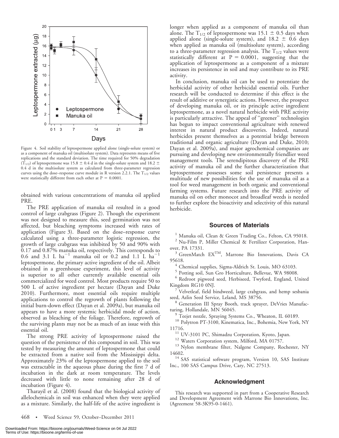

Figure 4. Soil stability of leptospermone applied alone (single-solute system) or as a component of manuka oil (multisolute system). Data represents means of five replications and the standard deviation. The time required for 50% degradation  $(\overline{T}_{1/2})$  of leptospermone was 15.8  $\pm$  0.4 d in the single-solute system and 18.2  $\pm$ 0.4 d in the multisolute system as calculated from three-parameter regression curves using the dose–response curve module in R version 2.2.1. The  $T_{1/2}$  values were statistically different from each other at  $P = 0.0001$ .

obtained with various concentrations of manuka oil applied PRE.

The PRE application of manuka oil resulted in a good control of large crabgrass (Figure 2). Though the experiment was not designed to measure this, seed germination was not affected, but bleaching symptoms increased with rates of application (Figure 3). Based on the dose–response curve calculated using a three-parameter logistic regression, the growth of large crabgrass was inhibited by 50 and 90% with 0.17 and 0.87% manuka oil, respectively. This corresponds to 0.6 and 3.1 L  $ha^{-1}$  manuka oil or 0.2 and 1.1 L  $ha^{-1}$ leptospermone, the primary active ingredient of the oil. Albeit obtained in a greenhouse experiment, this level of activity is superior to all other currently available essential oils commercialized for weed control. Most products require 50 to 500 L of active ingredient per hectare (Dayan and Duke 2010). Furthermore, most essential oils require multiple applications to control the regrowth of plants following the initial burn-down effect (Dayan et al. 2009a), but manuka oil appears to have a more systemic herbicidal mode of action, observed as bleaching of the foliage. Therefore, regrowth of the surviving plants may not be as much of an issue with this essential oil.

The strong PRE activity of leptospermone raised the question of the persistence of this compound in soil. This was tested by measuring the amount of leptospermone that could be extracted from a native soil from the Mississippi delta. Approximately 23% of the leptospermone applied to the soil was extractable in the aqueous phase during the first 7 d of incubation in the dark at room temperature. The levels decreased with little to none remaining after 28 d of incubation (Figure 4).

Tharayil et al. (2008) found that the biological activity of allelochemicals in soil was enhanced when they were applied as a mixture. Similarly, the half-life of the active ingredient is

longer when applied as a component of manuka oil than alone. The  $T_{1/2}$  of leptospermone was 15.1  $\pm$  0.5 days when applied alone (single-solute system), and  $18.2 \pm 0.6$  days when applied as manuka oil (multisolute system), according to a three-parameter regression analysis. The  $T_{1/2}$  values were statistically different at  $P = 0.0001$ , suggesting that the application of leptospermone as a component of a mixture increases its persistence in soil and may contribute to its PRE activity.

In conclusion, manuka oil can be used to potentiate the herbicidal activity of other herbicidal essential oils. Further research will be conducted to determine if this effect is the result of additive or synergistic actions. However, the prospect of developing manuka oil, or its principle active ingredient leptospermone, as a novel natural herbicide with PRE activity is particularly attractive. The appeal of ''greener'' technologies has begun to impact conventional agriculture with renewed interest in natural product discoveries. Indeed, natural herbicides present themselves as a potential bridge between traditional and organic agriculture (Dayan and Duke, 2010; Dayan et al. 2009a), and major agrochemical companies are pursuing and developing new environmentally friendlier weed management tools. The serendipitous discovery of the PRE activity of manuka oil and the further characterization that leptospermone possesses some soil persistence presents a multitude of new possibilities for the use of manuka oil as a tool for weed management in both organic and conventional farming systems. Future research into the PRE activity of manuka oil on other monocot and broadleaf weeds is needed to further explore the bioactivity and selectivity of this natural herbicide.

## Sources of Materials

<sup>1</sup> Manuka oil, Clean & Green Trading Co., Felton, CA 95018.

<sup>2</sup> Nu-Film P, Miller Chemical & Fertilizer Corporation, Hanover, PA 17331.<br><sup>3</sup> GreenMatch EX<sup>TM</sup>, Marrone Bio Innovations, Davis CA

95618. <sup>4</sup> Chemical supplies, Sigma-Aldrich St. Louis, MO 63103.

<sup>5</sup> Potting soil, Sun Gro Horticulture, Bellevue, WA 98008.

<sup>6</sup> Redroot pigweed seed, Herbiseed, Twyford, England, United Kingdom RG10 0NJ.<br><sup>7</sup> Velvetleaf, field bindweed, large crabgrass, and hemp sesbania

seed, Azlin Seed Service, Leland, MS 38756.<br><sup>8</sup> Generation III Spray Booth, track sprayer, DeVries Manufacturing, Hollandale, MN 56045.<br><sup>9</sup> Teejet nozzle, Spraying Systems Co., Wheaton, IL 60189.

<sup>10</sup> Polytron PT-3100, Kinematica, Inc., Bohemia, New York, NY

11716.<br><sup>11</sup> UV-3101 PC, Shimadzu Corporation, Kyoto, Japan.<br><sup>12</sup> Waters Corporation system, Milford, MA 01757.<br><sup>13</sup> Nylon membrane filter, Nalgene Company, Rochester, NY

14602. <sup>14</sup> SAS statistical software program, Version 10, SAS Institute Inc., 100 SAS Campus Drive, Cary, NC 27513.

#### Acknowledgment

This research was supported in part from a Cooperative Research and Development Agreement with Marrone Bio Innovations, Inc. (Agreement 58-3K95-0-1461).